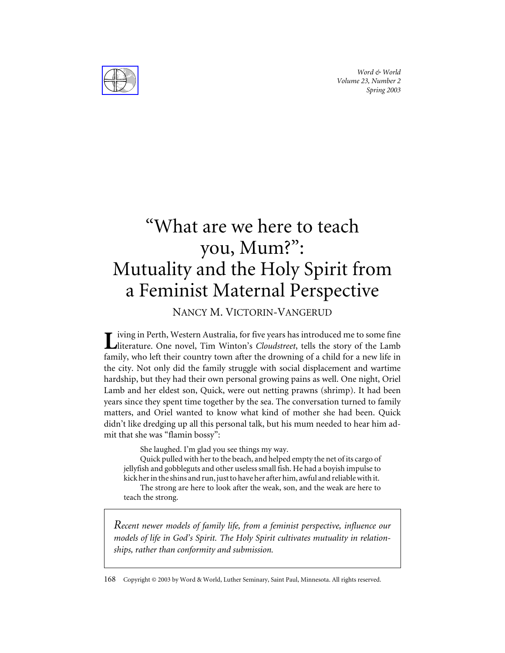*Word & World Volume 23, Number 2 Spring 2003*



# "What are we here to teach you, Mum?": Mutuality and the Holy Spirit from a Feminist Maternal Perspective

NANCY M. VICTORIN-VANGERUD

iving in Perth, Western Australia, for five years has introduced me to some fine literature. One novel, Tim Winton's *Cloudstreet*, tells the story of the Lamb family, who left their country town after the drowning of a child for a new life in the city. Not only did the family struggle with social displacement and wartime hardship, but they had their own personal growing pains as well. One night, Oriel Lamb and her eldest son, Quick, were out netting prawns (shrimp). It had been years since they spent time together by the sea. The conversation turned to family matters, and Oriel wanted to know what kind of mother she had been. Quick didn't like dredging up all this personal talk, but his mum needed to hear him admit that she was "flamin bossy":

She laughed. I'm glad you see things my way.

Quick pulled with her to the beach, and helped empty the net of its cargo of jellyfish and gobbleguts and other useless small fish. He had a boyish impulse to kick her in the shins and run, just to have her after him, awful and reliable with it.

The strong are here to look after the weak, son, and the weak are here to teach the strong.

*Recent newer models of family life, from a feminist perspective, influence our models of life in God's Spirit. The Holy Spirit cultivates mutuality in relationships, rather than conformity and submission.*

168 Copyright © 2003 by Word & World, Luther Seminary, Saint Paul, Minnesota. All rights reserved.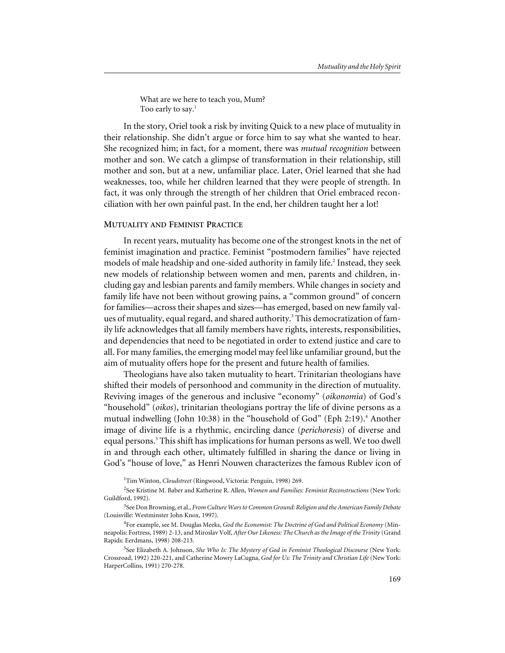What are we here to teach you, Mum? Too early to say.<sup>1</sup>

In the story, Oriel took a risk by inviting Quick to a new place of mutuality in their relationship. She didn't argue or force him to say what she wanted to hear. She recognized him; in fact, for a moment, there was *mutual recognition* between mother and son. We catch a glimpse of transformation in their relationship, still mother and son, but at a new, unfamiliar place. Later, Oriel learned that she had weaknesses, too, while her children learned that they were people of strength. In fact, it was only through the strength of her children that Oriel embraced reconciliation with her own painful past. In the end, her children taught her a lot!

### **MUTUALITY AND FEMINIST PRACTICE**

In recent years, mutuality has become one of the strongest knots in the net of feminist imagination and practice. Feminist "postmodern families" have rejected models of male headship and one-sided authority in family life.<sup>2</sup> Instead, they seek new models of relationship between women and men, parents and children, including gay and lesbian parents and family members. While changes in society and family life have not been without growing pains, a "common ground" of concern for families—across their shapes and sizes—has emerged, based on new family values of mutuality, equal regard, and shared authority.<sup>3</sup> This democratization of family life acknowledges that all family members have rights, interests, responsibilities, and dependencies that need to be negotiated in order to extend justice and care to all. For many families, the emerging model may feel like unfamiliar ground, but the aim of mutuality offers hope for the present and future health of families.

Theologians have also taken mutuality to heart. Trinitarian theologians have shifted their models of personhood and community in the direction of mutuality. Reviving images of the generous and inclusive "economy" (*oikonomia*) of God's "household" (*oikos*), trinitarian theologians portray the life of divine persons as a mutual indwelling (John 10:38) in the "household of God" (Eph 2:19).<sup>4</sup> Another image of divine life is a rhythmic, encircling dance (*perichoresis*) of diverse and equal persons.<sup>5</sup> This shift has implications for human persons as well. We too dwell in and through each other, ultimately fulfilled in sharing the dance or living in God's "house of love," as Henri Nouwen characterizes the famous Rublev icon of

<sup>1</sup>Tim Winton, *Cloudstreet* (Ringwood, Victoria: Penguin, 1998) 269.

2 See Kristine M. Baber and Katherine R. Allen, *Women and Families: Feminist Reconstructions* (New York: Guildford, 1992).

3 See Don Browning, et al., *From Culture Wars to Common Ground: Religion and the American Family Debate* (Louisville: Westminster John Knox, 1997).

<sup>4</sup> For example, see M. Douglas Meeks, *God the Economist: The Doctrine of God and Political Economy* (Minneapolis: Fortress, 1989) 2-13, and Miroslav Volf, *After Our Likeness: The Church as the Image of the Trinity* (Grand Rapids: Eerdmans, 1998) 208-213.

<sup>5</sup> See Elizabeth A. Johnson, *She Who Is: The Mystery of God in Feminist Theological Discourse* (New York: Crossroad, 1992) 220-221, and Catherine Mowry LaCugna, *God for Us: The Trinity and Christian Life* (New York: HarperCollins, 1991) 270-278.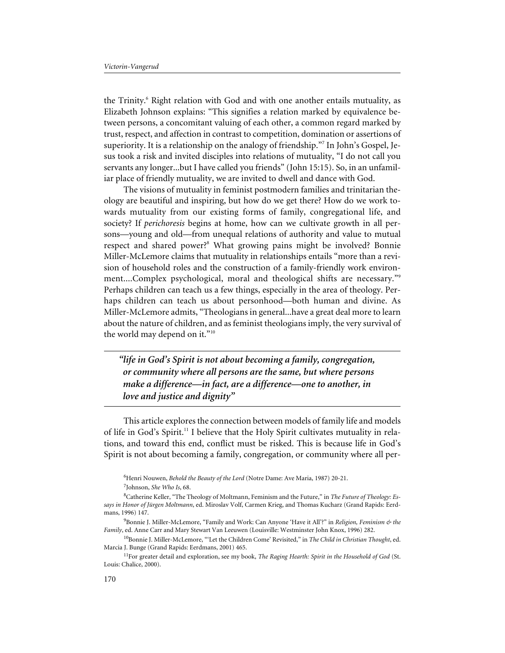the Trinity.<sup>6</sup> Right relation with God and with one another entails mutuality, as Elizabeth Johnson explains: "This signifies a relation marked by equivalence between persons, a concomitant valuing of each other, a common regard marked by trust, respect, and affection in contrast to competition, domination or assertions of superiority. It is a relationship on the analogy of friendship."<sup>7</sup> In John's Gospel, Jesus took a risk and invited disciples into relations of mutuality, "I do not call you servants any longer...but I have called you friends" (John 15:15). So, in an unfamiliar place of friendly mutuality, we are invited to dwell and dance with God.

The visions of mutuality in feminist postmodern families and trinitarian theology are beautiful and inspiring, but how do we get there? How do we work towards mutuality from our existing forms of family, congregational life, and society? If *perichoresis* begins at home, how can we cultivate growth in all persons—young and old—from unequal relations of authority and value to mutual respect and shared power?<sup>8</sup> What growing pains might be involved? Bonnie Miller-McLemore claims that mutuality in relationships entails "more than a revision of household roles and the construction of a family-friendly work environment....Complex psychological, moral and theological shifts are necessary."9 Perhaps children can teach us a few things, especially in the area of theology. Perhaps children can teach us about personhood—both human and divine. As Miller-McLemore admits, "Theologians in general...have a great deal more to learn about the nature of children, and as feminist theologians imply, the very survival of the world may depend on it."<sup>10</sup>

*"life in God's Spirit is not about becoming a family, congregation, or community where all persons are the same, but where persons make a difference—in fact, are a difference—one to another, in love and justice and dignity"*

This article explores the connection between models of family life and models of life in God's Spirit.11 I believe that the Holy Spirit cultivates mutuality in relations, and toward this end, conflict must be risked. This is because life in God's Spirit is not about becoming a family, congregation, or community where all per-

<sup>6</sup> Henri Nouwen, *Behold the Beauty of the Lord* (Notre Dame: Ave Maria, 1987) 20-21. 7 Johnson, *She Who Is*, 68.

<sup>8</sup> Catherine Keller, "The Theology of Moltmann, Feminism and the Future," in *The Future of Theology: Essays in Honor of Jürgen Moltmann*, ed. Miroslav Volf, Carmen Krieg, and Thomas Kucharz (Grand Rapids: Eerdmans, 1996) 147.

<sup>9</sup> Bonnie J. Miller-McLemore, "Family and Work: Can Anyone 'Have it All'?" in *Religion, Feminism & the Family*, ed. Anne Carr and Mary Stewart Van Leeuwen (Louisville: Westminster John Knox, 1996) 282.

<sup>10</sup>Bonnie J. Miller-McLemore, "'Let the Children Come' Revisited," in *The Child in Christian Thought*, ed. Marcia J. Bunge (Grand Rapids: Eerdmans, 2001) 465.

<sup>11</sup>For greater detail and exploration, see my book, *The Raging Hearth: Spirit in the Household of God* (St. Louis: Chalice, 2000).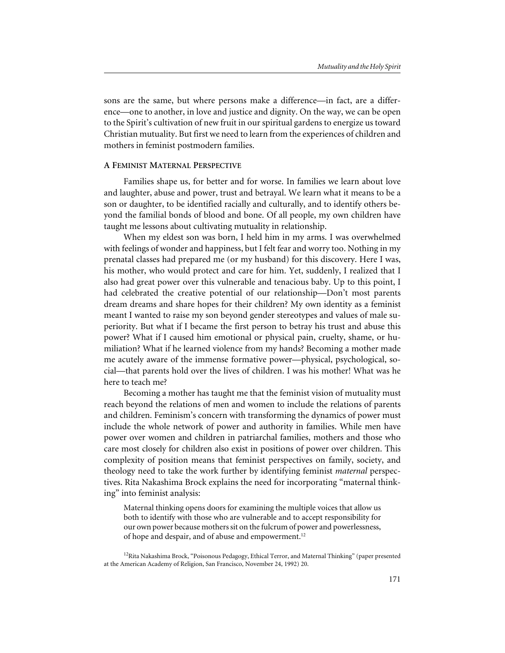sons are the same, but where persons make a difference—in fact, are a difference—one to another, in love and justice and dignity. On the way, we can be open to the Spirit's cultivation of new fruit in our spiritual gardens to energize us toward Christian mutuality. But first we need to learn from the experiences of children and mothers in feminist postmodern families.

# **A FEMINIST MATERNAL PERSPECTIVE**

Families shape us, for better and for worse. In families we learn about love and laughter, abuse and power, trust and betrayal. We learn what it means to be a son or daughter, to be identified racially and culturally, and to identify others beyond the familial bonds of blood and bone. Of all people, my own children have taught me lessons about cultivating mutuality in relationship.

When my eldest son was born, I held him in my arms. I was overwhelmed with feelings of wonder and happiness, but I felt fear and worry too. Nothing in my prenatal classes had prepared me (or my husband) for this discovery. Here I was, his mother, who would protect and care for him. Yet, suddenly, I realized that I also had great power over this vulnerable and tenacious baby. Up to this point, I had celebrated the creative potential of our relationship—Don't most parents dream dreams and share hopes for their children? My own identity as a feminist meant I wanted to raise my son beyond gender stereotypes and values of male superiority. But what if I became the first person to betray his trust and abuse this power? What if I caused him emotional or physical pain, cruelty, shame, or humiliation? What if he learned violence from my hands? Becoming a mother made me acutely aware of the immense formative power—physical, psychological, social—that parents hold over the lives of children. I was his mother! What was he here to teach me?

Becoming a mother has taught me that the feminist vision of mutuality must reach beyond the relations of men and women to include the relations of parents and children. Feminism's concern with transforming the dynamics of power must include the whole network of power and authority in families. While men have power over women and children in patriarchal families, mothers and those who care most closely for children also exist in positions of power over children. This complexity of position means that feminist perspectives on family, society, and theology need to take the work further by identifying feminist *maternal* perspectives. Rita Nakashima Brock explains the need for incorporating "maternal thinking" into feminist analysis:

Maternal thinking opens doors for examining the multiple voices that allow us both to identify with those who are vulnerable and to accept responsibility for our own power because mothers sit on the fulcrum of power and powerlessness, of hope and despair, and of abuse and empowerment.<sup>12</sup>

<sup>&</sup>lt;sup>12</sup>Rita Nakashima Brock, "Poisonous Pedagogy, Ethical Terror, and Maternal Thinking" (paper presented at the American Academy of Religion, San Francisco, November 24, 1992) 20.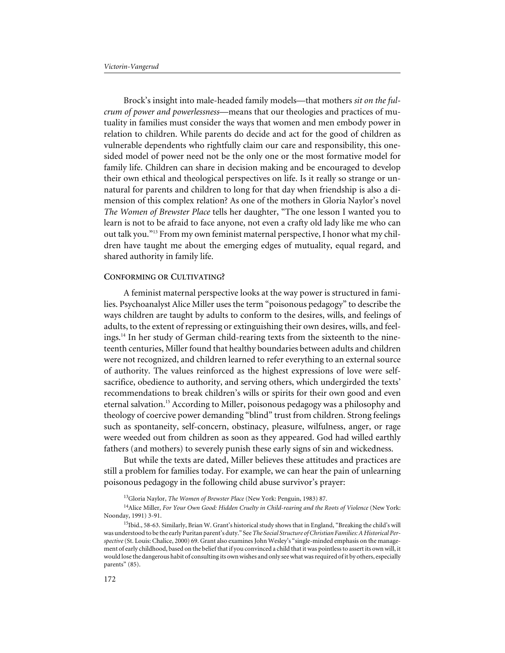Brock's insight into male-headed family models—that mothers *sit on the fulcrum of power and powerlessness*—means that our theologies and practices of mutuality in families must consider the ways that women and men embody power in relation to children. While parents do decide and act for the good of children as vulnerable dependents who rightfully claim our care and responsibility, this onesided model of power need not be the only one or the most formative model for family life. Children can share in decision making and be encouraged to develop their own ethical and theological perspectives on life. Is it really so strange or unnatural for parents and children to long for that day when friendship is also a dimension of this complex relation? As one of the mothers in Gloria Naylor's novel *The Women of Brewster Place* tells her daughter, "The one lesson I wanted you to learn is not to be afraid to face anyone, not even a crafty old lady like me who can out talk you."13 From my own feminist maternal perspective, I honor what my children have taught me about the emerging edges of mutuality, equal regard, and shared authority in family life.

#### **CONFORMING OR CULTIVATING?**

A feminist maternal perspective looks at the way power is structured in families. Psychoanalyst Alice Miller uses the term "poisonous pedagogy" to describe the ways children are taught by adults to conform to the desires, wills, and feelings of adults, to the extent of repressing or extinguishing their own desires, wills, and feelings.14 In her study of German child-rearing texts from the sixteenth to the nineteenth centuries, Miller found that healthy boundaries between adults and children were not recognized, and children learned to refer everything to an external source of authority. The values reinforced as the highest expressions of love were selfsacrifice, obedience to authority, and serving others, which undergirded the texts' recommendations to break children's wills or spirits for their own good and even eternal salvation.<sup>15</sup> According to Miller, poisonous pedagogy was a philosophy and theology of coercive power demanding "blind" trust from children. Strong feelings such as spontaneity, self-concern, obstinacy, pleasure, wilfulness, anger, or rage were weeded out from children as soon as they appeared. God had willed earthly fathers (and mothers) to severely punish these early signs of sin and wickedness.

But while the texts are dated, Miller believes these attitudes and practices are still a problem for families today. For example, we can hear the pain of unlearning poisonous pedagogy in the following child abuse survivor's prayer:

14Alice Miller, *For Your Own Good: Hidden Cruelty in Child-rearing and the Roots of Violence* (New York: Noonday, 1991) 3-91.

<sup>13</sup>Gloria Naylor, *The Women of Brewster Place* (New York: Penguin, 1983) 87.

<sup>&</sup>lt;sup>15</sup>Ibid., 58-63. Similarly, Brian W. Grant's historical study shows that in England, "Breaking the child's will was understood to be the early Puritan parent's duty." See*The Social Structure of Christian Families: A Historical Perspective*(St. Louis: Chalice, 2000) 69. Grant also examines John Wesley's "single-minded emphasis on the management of early childhood, based on the belief that if you convinced a child that it was pointless to assert its own will, it would lose the dangerous habit of consulting its own wishes and only see what was required of it by others, especially parents" (85).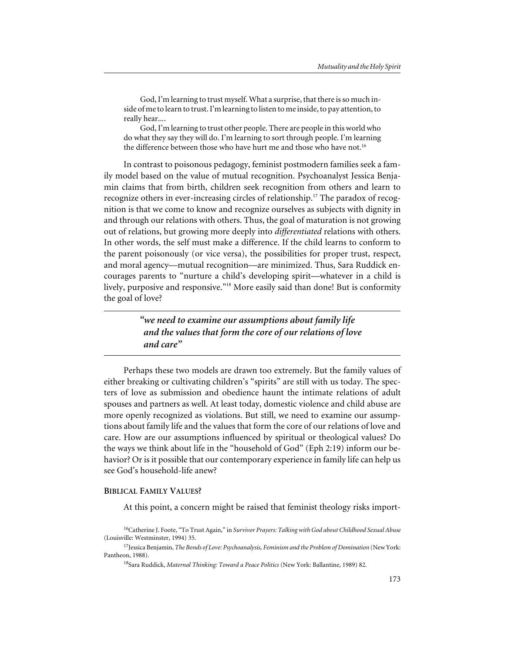God, I'm learning to trust myself. What a surprise, that there is so much inside of me to learn to trust. I'm learning to listen to me inside, to pay attention, to really hear....

God, I'm learning to trust other people. There are people in this world who do what they say they will do. I'm learning to sort through people. I'm learning the difference between those who have hurt me and those who have not.<sup>16</sup>

In contrast to poisonous pedagogy, feminist postmodern families seek a family model based on the value of mutual recognition. Psychoanalyst Jessica Benjamin claims that from birth, children seek recognition from others and learn to recognize others in ever-increasing circles of relationship.<sup>17</sup> The paradox of recognition is that we come to know and recognize ourselves as subjects with dignity in and through our relations with others. Thus, the goal of maturation is not growing out of relations, but growing more deeply into *differentiated* relations with others. In other words, the self must make a difference. If the child learns to conform to the parent poisonously (or vice versa), the possibilities for proper trust, respect, and moral agency—mutual recognition—are minimized. Thus, Sara Ruddick encourages parents to "nurture a child's developing spirit—whatever in a child is lively, purposive and responsive."<sup>18</sup> More easily said than done! But is conformity the goal of love?

> *"we need to examine our assumptions about family life and the values that form the core of our relations of love and care"*

Perhaps these two models are drawn too extremely. But the family values of either breaking or cultivating children's "spirits" are still with us today. The specters of love as submission and obedience haunt the intimate relations of adult spouses and partners as well. At least today, domestic violence and child abuse are more openly recognized as violations. But still, we need to examine our assumptions about family life and the values that form the core of our relations of love and care. How are our assumptions influenced by spiritual or theological values? Do the ways we think about life in the "household of God" (Eph 2:19) inform our behavior? Or is it possible that our contemporary experience in family life can help us see God's household-life anew?

#### **BIBLICAL FAMILY VALUES?**

At this point, a concern might be raised that feminist theology risks import-

<sup>16</sup>Catherine J. Foote, "To Trust Again," in *Survivor Prayers: Talking with God about Childhood Sexual Abuse* (Louisville: Westminster, 1994) 35.

<sup>17</sup>Jessica Benjamin, *The Bonds of Love: Psychoanalysis, Feminism and the Problem of Domination* (New York: Pantheon, 1988).

<sup>18</sup>Sara Ruddick, *Maternal Thinking: Toward a Peace Politics* (New York: Ballantine, 1989) 82.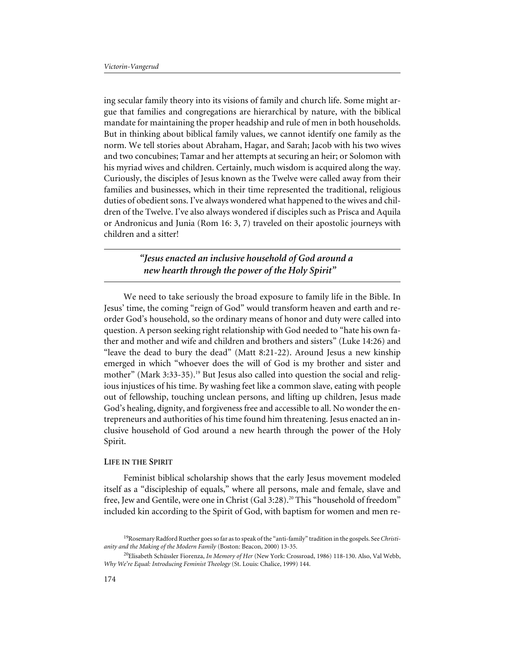ing secular family theory into its visions of family and church life. Some might argue that families and congregations are hierarchical by nature, with the biblical mandate for maintaining the proper headship and rule of men in both households. But in thinking about biblical family values, we cannot identify one family as the norm. We tell stories about Abraham, Hagar, and Sarah; Jacob with his two wives and two concubines; Tamar and her attempts at securing an heir; or Solomon with his myriad wives and children. Certainly, much wisdom is acquired along the way. Curiously, the disciples of Jesus known as the Twelve were called away from their families and businesses, which in their time represented the traditional, religious duties of obedient sons. I've always wondered what happened to the wives and children of the Twelve. I've also always wondered if disciples such as Prisca and Aquila or Andronicus and Junia (Rom 16: 3, 7) traveled on their apostolic journeys with children and a sitter!

> *"Jesus enacted an inclusive household of God around a new hearth through the power of the Holy Spirit"*

We need to take seriously the broad exposure to family life in the Bible. In Jesus' time, the coming "reign of God" would transform heaven and earth and reorder God's household, so the ordinary means of honor and duty were called into question. A person seeking right relationship with God needed to "hate his own father and mother and wife and children and brothers and sisters" (Luke 14:26) and "leave the dead to bury the dead" (Matt 8:21-22). Around Jesus a new kinship emerged in which "whoever does the will of God is my brother and sister and mother" (Mark 3:33-35).<sup>19</sup> But Jesus also called into question the social and religious injustices of his time. By washing feet like a common slave, eating with people out of fellowship, touching unclean persons, and lifting up children, Jesus made God's healing, dignity, and forgiveness free and accessible to all. No wonder the entrepreneurs and authorities of his time found him threatening. Jesus enacted an inclusive household of God around a new hearth through the power of the Holy Spirit.

## **LIFE IN THE SPIRIT**

Feminist biblical scholarship shows that the early Jesus movement modeled itself as a "discipleship of equals," where all persons, male and female, slave and free, Jew and Gentile, were one in Christ (Gal 3:28).<sup>20</sup> This "household of freedom" included kin according to the Spirit of God, with baptism for women and men re-

<sup>19</sup>Rosemary Radford Ruether goes so far as to speak of the "anti-family" tradition in the gospels. See *Christianity and the Making of the Modern Family* (Boston: Beacon, 2000) 13-35.

<sup>20</sup>Elisabeth Schüssler Fiorenza, *In Memory of Her* (New York: Crossroad, 1986) 118-130. Also, Val Webb, *Why We're Equal: Introducing Feminist Theology* (St. Louis: Chalice, 1999) 144.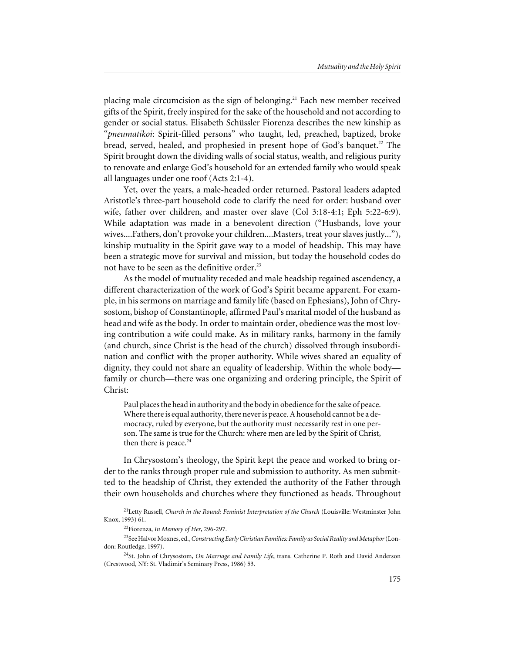placing male circumcision as the sign of belonging.<sup>21</sup> Each new member received gifts of the Spirit, freely inspired for the sake of the household and not according to gender or social status. Elisabeth Schüssler Fiorenza describes the new kinship as "*pneumatikoi*: Spirit-filled persons" who taught, led, preached, baptized, broke bread, served, healed, and prophesied in present hope of God's banquet.<sup>22</sup> The Spirit brought down the dividing walls of social status, wealth, and religious purity to renovate and enlarge God's household for an extended family who would speak all languages under one roof (Acts 2:1-4).

Yet, over the years, a male-headed order returned. Pastoral leaders adapted Aristotle's three-part household code to clarify the need for order: husband over wife, father over children, and master over slave (Col 3:18-4:1; Eph 5:22-6:9). While adaptation was made in a benevolent direction ("Husbands, love your wives....Fathers, don't provoke your children....Masters, treat your slaves justly..."), kinship mutuality in the Spirit gave way to a model of headship. This may have been a strategic move for survival and mission, but today the household codes do not have to be seen as the definitive order.<sup>23</sup>

As the model of mutuality receded and male headship regained ascendency, a different characterization of the work of God's Spirit became apparent. For example, in his sermons on marriage and family life (based on Ephesians), John of Chrysostom, bishop of Constantinople, affirmed Paul's marital model of the husband as head and wife as the body. In order to maintain order, obedience was the most loving contribution a wife could make. As in military ranks, harmony in the family (and church, since Christ is the head of the church) dissolved through insubordination and conflict with the proper authority. While wives shared an equality of dignity, they could not share an equality of leadership. Within the whole body family or church—there was one organizing and ordering principle, the Spirit of Christ:

Paul places the head in authority and the body in obedience for the sake of peace. Where there is equal authority, there never is peace. A household cannot be a democracy, ruled by everyone, but the authority must necessarily rest in one person. The same is true for the Church: where men are led by the Spirit of Christ, then there is peace. $24$ 

In Chrysostom's theology, the Spirit kept the peace and worked to bring order to the ranks through proper rule and submission to authority. As men submitted to the headship of Christ, they extended the authority of the Father through their own households and churches where they functioned as heads. Throughout

21Letty Russell, *Church in the Round: Feminist Interpretation of the Church* (Louisville: Westminster John Knox, 1993) 61.

22Fiorenza, *In Memory of Her*, 296-297.

23See Halvor Moxnes, ed.,*Constructing Early Christian Families: Family as Social Reality and Metaphor*(London: Routledge, 1997).

24St. John of Chrysostom, *On Marriage and Family Life*, trans. Catherine P. Roth and David Anderson (Crestwood, NY: St. Vladimir's Seminary Press, 1986) 53.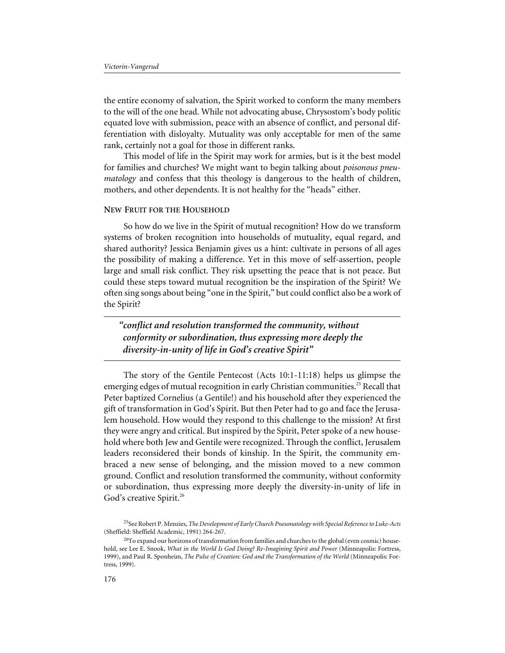the entire economy of salvation, the Spirit worked to conform the many members to the will of the one head. While not advocating abuse, Chrysostom's body politic equated love with submission, peace with an absence of conflict, and personal differentiation with disloyalty. Mutuality was only acceptable for men of the same rank, certainly not a goal for those in different ranks.

This model of life in the Spirit may work for armies, but is it the best model for families and churches? We might want to begin talking about *poisonous pneumatology* and confess that this theology is dangerous to the health of children, mothers, and other dependents. It is not healthy for the "heads" either.

#### **NEW FRUIT FOR THE HOUSEHOLD**

So how do we live in the Spirit of mutual recognition? How do we transform systems of broken recognition into households of mutuality, equal regard, and shared authority? Jessica Benjamin gives us a hint: cultivate in persons of all ages the possibility of making a difference. Yet in this move of self-assertion, people large and small risk conflict. They risk upsetting the peace that is not peace. But could these steps toward mutual recognition be the inspiration of the Spirit? We often sing songs about being "one in the Spirit," but could conflict also be a work of the Spirit?

*"conflict and resolution transformed the community, without conformity or subordination, thus expressing more deeply the diversity-in-unity of life in God's creative Spirit"*

The story of the Gentile Pentecost (Acts 10:1-11:18) helps us glimpse the emerging edges of mutual recognition in early Christian communities.<sup>25</sup> Recall that Peter baptized Cornelius (a Gentile!) and his household after they experienced the gift of transformation in God's Spirit. But then Peter had to go and face the Jerusalem household. How would they respond to this challenge to the mission? At first they were angry and critical. But inspired by the Spirit, Peter spoke of a new household where both Jew and Gentile were recognized. Through the conflict, Jerusalem leaders reconsidered their bonds of kinship. In the Spirit, the community embraced a new sense of belonging, and the mission moved to a new common ground. Conflict and resolution transformed the community, without conformity or subordination, thus expressing more deeply the diversity-in-unity of life in God's creative Spirit.<sup>26</sup>

<sup>25</sup>See Robert P. Menzies, *The Development of Early Church Pneumatology with Special Reference to Luke-Acts* (Sheffield: Sheffield Academic, 1991) 264-267.

<sup>&</sup>lt;sup>26</sup>To expand our horizons of transformation from families and churches to the global (even cosmic) household, see Lee E. Snook, *What in the World Is God Doing? Re-Imagining Spirit and Power* (Minneapolis: Fortress, 1999), and Paul R. Sponheim, *The Pulse of Creation: God and the Transformation of the World* (Minneapolis: Fortress, 1999).